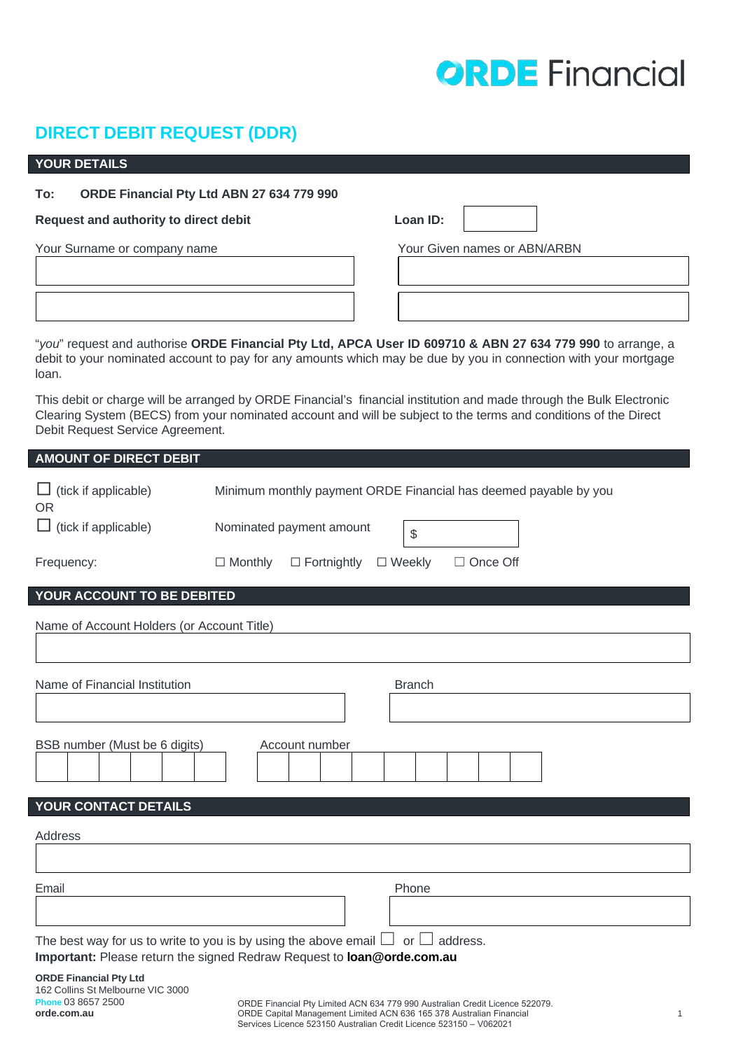# **ORDE** Financial

# **DIRECT DEBIT REQUEST (DDR)**

# **YOUR DETAILS**

**Phone** 03 8657 2500 **orde.com.au**

### **To: ORDE Financial Pty Ltd ABN 27 634 779 990**

#### **Request** and authority to direct debit **Loan ID: Local ID: Local ID: Local ID: Local ID: Local ID: Local ID: Local ID: Local ID: Local ID: Local ID: Local ID: Local ID: Local ID: Local ID: Lo**

Your Surname or company name  $\sim$  Your Given names or ABN/ARBN

| oan ID: |  |
|---------|--|

"*you*" request and authorise **ORDE Financial Pty Ltd, APCA User ID 609710 & ABN 27 634 779 990** to arrange, a debit to your nominated account to pay for any amounts which may be due by you in connection with your mortgage loan**.**

This debit or charge will be arranged by ORDE Financial's financial institution and made through the Bulk Electronic Clearing System (BECS) from your nominated account and will be subject to the terms and conditions of the Direct Debit Request Service Agreement.

| <b>AMOUNT OF DIRECT DEBIT</b>                                                                                                                                       |                                                                          |  |
|---------------------------------------------------------------------------------------------------------------------------------------------------------------------|--------------------------------------------------------------------------|--|
| $\Box$ (tick if applicable)<br><b>OR</b>                                                                                                                            | Minimum monthly payment ORDE Financial has deemed payable by you         |  |
| $\Box$ (tick if applicable)                                                                                                                                         | Nominated payment amount<br>\$                                           |  |
| Frequency:                                                                                                                                                          | $\Box$ Monthly<br>$\Box$ Fortnightly<br>$\Box$ Weekly<br>$\Box$ Once Off |  |
| YOUR ACCOUNT TO BE DEBITED                                                                                                                                          |                                                                          |  |
| Name of Account Holders (or Account Title)                                                                                                                          |                                                                          |  |
|                                                                                                                                                                     |                                                                          |  |
| Name of Financial Institution                                                                                                                                       | <b>Branch</b>                                                            |  |
|                                                                                                                                                                     |                                                                          |  |
| BSB number (Must be 6 digits)                                                                                                                                       | Account number                                                           |  |
| YOUR CONTACT DETAILS                                                                                                                                                |                                                                          |  |
| Address                                                                                                                                                             |                                                                          |  |
|                                                                                                                                                                     |                                                                          |  |
| Email                                                                                                                                                               | Phone                                                                    |  |
|                                                                                                                                                                     |                                                                          |  |
| The best way for us to write to you is by using the above email $\Box$ or $\Box$ address.<br>Important: Please return the signed Redraw Request to loan@orde.com.au |                                                                          |  |
| <b>ORDE Financial Pty Ltd</b><br>162 Collins St Melbourne VIC 3000                                                                                                  |                                                                          |  |

ORDE Financial Pty Limited ACN 634 779 990 Australian Credit Licence 522079. ORDE Capital Management Limited ACN 636 165 378 Australian Financial Services Licence 523150 Australian Credit Licence 523150 – V062021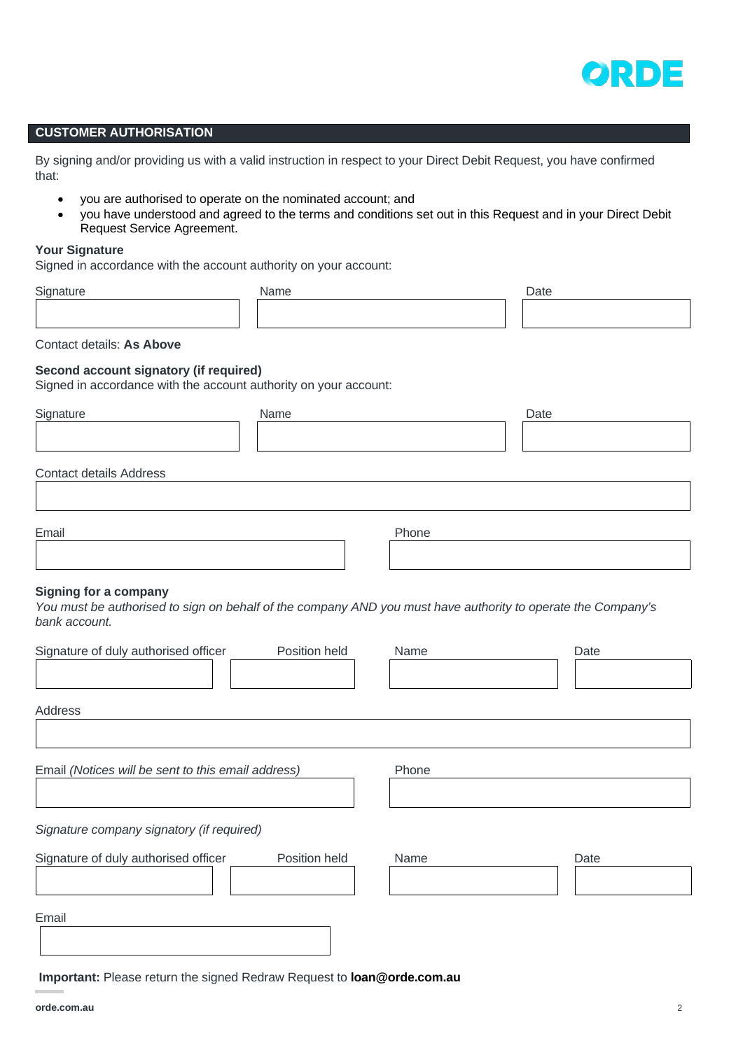

# **CUSTOMER AUTHORISATION**

By signing and/or providing us with a valid instruction in respect to your Direct Debit Request, you have confirmed that:

- you are authorised to operate on the nominated account; and
- you have understood and agreed to the terms and conditions set out in this Request and in your Direct Debit Request Service Agreement.

#### **Your Signature**

Signed in accordance with the account authority on your account:

| Time | Name | ∩otc. |
|------|------|-------|
|      |      |       |
|      |      |       |

Contact details: **As Above**

#### **Second account signatory (if required)**

Signed in accordance with the account authority on your account:

| Signature                                                                                                                                                     | Name          |       | Date |      |
|---------------------------------------------------------------------------------------------------------------------------------------------------------------|---------------|-------|------|------|
|                                                                                                                                                               |               |       |      |      |
| <b>Contact details Address</b>                                                                                                                                |               |       |      |      |
| Email                                                                                                                                                         |               | Phone |      |      |
|                                                                                                                                                               |               |       |      |      |
| <b>Signing for a company</b><br>You must be authorised to sign on behalf of the company AND you must have authority to operate the Company's<br>bank account. |               |       |      |      |
| Signature of duly authorised officer                                                                                                                          | Position held | Name  |      | Date |
| Address                                                                                                                                                       |               |       |      |      |
| Email (Notices will be sent to this email address)                                                                                                            |               | Phone |      |      |
|                                                                                                                                                               |               |       |      |      |
| Signature company signatory (if required)                                                                                                                     |               |       |      |      |
| Signature of duly authorised officer                                                                                                                          | Position held | Name  |      | Date |

Email

**Important:** Please return the signed Redraw Request to **loan@orde.com.au**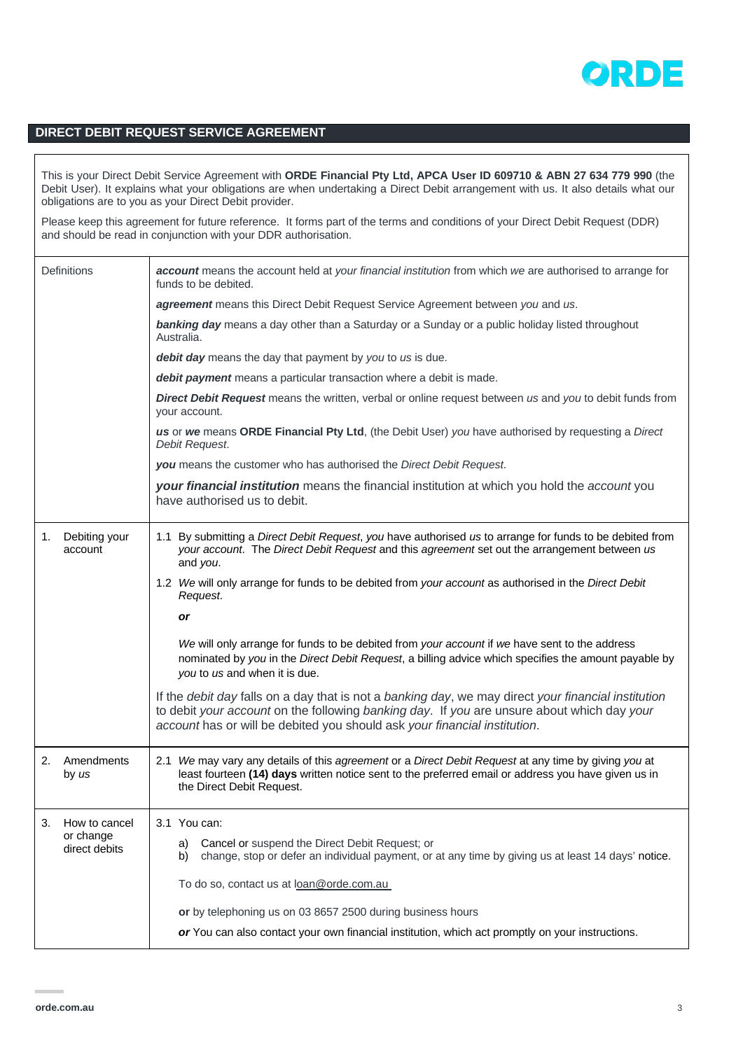

# **DIRECT DEBIT REQUEST SERVICE AGREEMENT**

This is your Direct Debit Service Agreement with **ORDE Financial Pty Ltd, APCA User ID 609710 & ABN 27 634 779 990** (the Debit User). It explains what your obligations are when undertaking a Direct Debit arrangement with us. It also details what our obligations are to you as your Direct Debit provider.

Please keep this agreement for future reference. It forms part of the terms and conditions of your Direct Debit Request (DDR) and should be read in conjunction with your DDR authorisation.

|    | <b>Definitions</b>         | account means the account held at your financial institution from which we are authorised to arrange for<br>funds to be debited.                                                                                                                                                              |  |
|----|----------------------------|-----------------------------------------------------------------------------------------------------------------------------------------------------------------------------------------------------------------------------------------------------------------------------------------------|--|
|    |                            | agreement means this Direct Debit Request Service Agreement between you and us.                                                                                                                                                                                                               |  |
|    |                            | banking day means a day other than a Saturday or a Sunday or a public holiday listed throughout<br>Australia.                                                                                                                                                                                 |  |
|    |                            | debit day means the day that payment by you to us is due.                                                                                                                                                                                                                                     |  |
|    |                            | debit payment means a particular transaction where a debit is made.                                                                                                                                                                                                                           |  |
|    |                            | <b>Direct Debit Request</b> means the written, verbal or online request between us and you to debit funds from<br>your account.                                                                                                                                                               |  |
|    |                            | us or we means ORDE Financial Pty Ltd, (the Debit User) you have authorised by requesting a Direct<br>Debit Request.                                                                                                                                                                          |  |
|    |                            | you means the customer who has authorised the Direct Debit Request.                                                                                                                                                                                                                           |  |
|    |                            | your financial institution means the financial institution at which you hold the account you<br>have authorised us to debit.                                                                                                                                                                  |  |
| 1. | Debiting your<br>account   | 1.1 By submitting a Direct Debit Request, you have authorised us to arrange for funds to be debited from<br>your account. The Direct Debit Request and this agreement set out the arrangement between us<br>and you.                                                                          |  |
|    |                            | 1.2 We will only arrange for funds to be debited from your account as authorised in the Direct Debit<br>Request.                                                                                                                                                                              |  |
|    |                            | or                                                                                                                                                                                                                                                                                            |  |
|    |                            | We will only arrange for funds to be debited from your account if we have sent to the address<br>nominated by you in the Direct Debit Request, a billing advice which specifies the amount payable by<br>you to us and when it is due.                                                        |  |
|    |                            | If the <i>debit day</i> falls on a day that is not a <i>banking day</i> , we may direct your financial institution<br>to debit your account on the following banking day. If you are unsure about which day your<br>account has or will be debited you should ask your financial institution. |  |
| 2. | Amendments<br>by us        | 2.1 We may vary any details of this agreement or a Direct Debit Request at any time by giving you at<br>least fourteen (14) days written notice sent to the preferred email or address you have given us in<br>the Direct Debit Request.                                                      |  |
| 3. | How to cancel              | 3.1 You can:                                                                                                                                                                                                                                                                                  |  |
|    | or change<br>direct debits | Cancel or suspend the Direct Debit Request; or<br>a)<br>change, stop or defer an individual payment, or at any time by giving us at least 14 days' notice.<br>b)                                                                                                                              |  |
|    |                            | To do so, contact us at loan@orde.com.au                                                                                                                                                                                                                                                      |  |
|    |                            | or by telephoning us on 03 8657 2500 during business hours                                                                                                                                                                                                                                    |  |
|    |                            | or You can also contact your own financial institution, which act promptly on your instructions.                                                                                                                                                                                              |  |